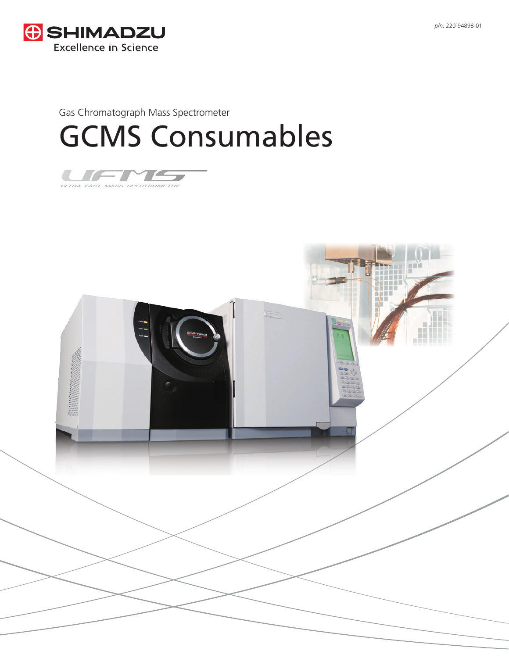



# Gas Chromatograph Mass Spectrometer GCMS Consumables



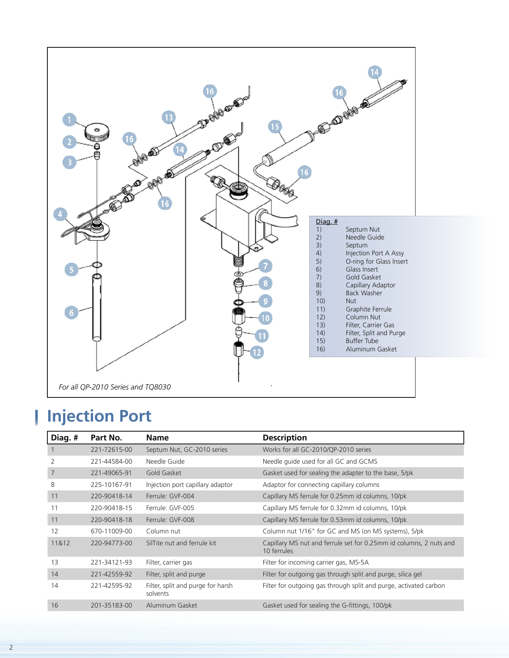

#### **Injection Port** I

| Diag.# | Part No.     | <b>Name</b>                                   | <b>Description</b>                                                                |
|--------|--------------|-----------------------------------------------|-----------------------------------------------------------------------------------|
|        | 221-72615-00 | Septum Nut, GC-2010 series                    | Works for all GC-2010/QP-2010 series                                              |
| 2      | 221-44584-00 | Needle Guide                                  | Needle quide used for all GC and GCMS                                             |
| 7      | 221-49065-91 | Gold Gasket                                   | Gasket used for sealing the adapter to the base, 5/pk                             |
| 8      | 225-10167-91 | Injection port capillary adaptor              | Adaptor for connecting capillary columns                                          |
| 11     | 220-90418-14 | Ferrule: GVF-004                              | Capillary MS ferrule for 0.25mm id columns, 10/pk                                 |
| 11     | 220-90418-15 | Ferrule: GVF-005                              | Capillary MS ferrule for 0.32mm id columns, 10/pk                                 |
| 11     | 220-90418-18 | Ferrule: GVF-008                              | Capillary MS ferrule for 0.53mm id columns, 10/pk                                 |
| 12     | 670-11009-00 | Column nut                                    | Column nut 1/16" for GC and MS (on MS systems), 5/pk                              |
| 11&12  | 220-94773-00 | SilTite nut and ferrule kit                   | Capillary MS nut and ferrule set for 0.25mm id columns, 2 nuts and<br>10 ferrules |
| 13     | 221-34121-93 | Filter, carrier gas                           | Filter for incoming carrier gas, MS-5A                                            |
| 14     | 221-42559-92 | Filter, split and purge                       | Filter for outgoing gas through split and purge, silica gel                       |
| 14     | 221-42595-92 | Filter, split and purge for harsh<br>solvents | Filter for outgoing gas through split and purge, activated carbon                 |
| 16     | 201-35183-00 | Aluminum Gasket                               | Gasket used for sealing the G-fittings, 100/pk                                    |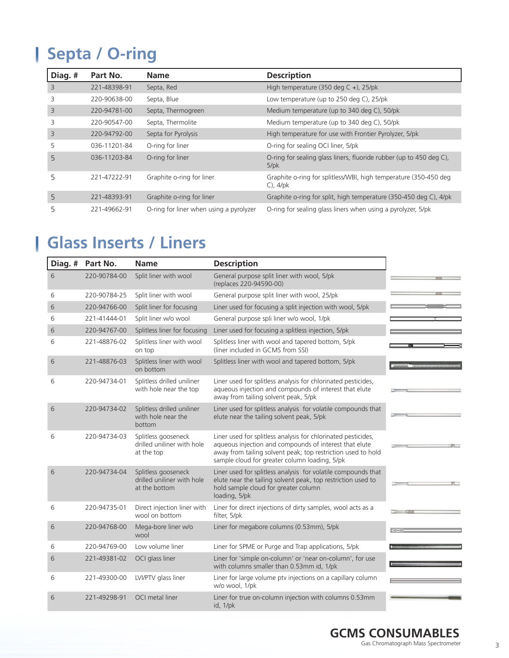# **Septa / O-ring**

| Diag. #                 | Part No.     | <b>Name</b>                             | <b>Description</b>                                                                         |
|-------------------------|--------------|-----------------------------------------|--------------------------------------------------------------------------------------------|
| $\overline{\mathbf{3}}$ | 221-48398-91 | Septa, Red                              | High temperature (350 deg C +), 25/pk                                                      |
| 3                       | 220-90638-00 | Septa, Blue                             | Low temperature (up to 250 deg C), 25/pk                                                   |
| 3                       | 220-94781-00 | Septa, Thermogreen                      | Medium temperature (up to 340 deg C), 50/pk                                                |
| 3                       | 220-90547-00 | Septa, Thermolite                       | Medium temperature (up to 340 deg C), 50/pk                                                |
| 3                       | 220-94792-00 | Septa for Pyrolysis                     | High temperature for use with Frontier Pyrolyzer, 5/pk                                     |
| 5                       | 036-11201-84 | O-ring for liner                        | O-ring for sealing OCI liner, 5/pk                                                         |
| 5                       | 036-11203-84 | O-ring for liner                        | O-ring for sealing glass liners, fluoride rubber (up to 450 deg C),<br>$5$ /p $\mathsf{k}$ |
| 5                       | 221-47222-91 | Graphite o-ring for liner               | Graphite o-ring for splitless/WBI, high temperature (350-450 deg<br>$C$ ), $4$ / $pk$      |
| 5                       | 221-48393-91 | Graphite o-ring for liner               | Graphite o-ring for split, high temperature (350-450 deg C), 4/pk                          |
| 5                       | 221-49662-91 | O-ring for liner when using a pyrolyzer | O-ring for sealing glass liners when using a pyrolyzer, 5/pk                               |

### **Glass Inserts / Liners**

| Diag. # | Part No.     | <b>Name</b>                                                        | <b>Description</b>                                                                                                                                                                                                                       |  |
|---------|--------------|--------------------------------------------------------------------|------------------------------------------------------------------------------------------------------------------------------------------------------------------------------------------------------------------------------------------|--|
| 6       | 220-90784-00 | Split liner with wool                                              | General purpose split liner with wool, 5/pk<br>(replaces 220-94590-00)                                                                                                                                                                   |  |
| 6       | 220-90784-25 | Split liner with wool                                              | General purpose split liner with wool, 25/pk                                                                                                                                                                                             |  |
| 6       | 220-94766-00 | Split liner for focusing                                           | Liner used for focusing a split injection with wool, 5/pk                                                                                                                                                                                |  |
| 6       | 221-41444-01 | Split liner w/o wool                                               | General purpose spli liner w/o wool, 1/pk                                                                                                                                                                                                |  |
| 6       | 220-94767-00 | Splitless liner for focusing                                       | Liner used for focusing a splitless injection, 5/pk                                                                                                                                                                                      |  |
| 6       | 221-48876-02 | Splitless liner with wool<br>on top                                | Splitless liner with wool and tapered bottom, 5/pk<br>(liner included in GCMS from SSI)                                                                                                                                                  |  |
| 6       | 221-48876-03 | Splitless liner with wool<br>on bottom                             | Splitless liner with wool and tapered bottom, 5/pk                                                                                                                                                                                       |  |
| 6       | 220-94734-01 | Splitless drilled uniliner<br>with hole near the top               | Liner used for splitless analysis for chlorinated pesticides,<br>aqueous injection and compounds of interest that elute<br>away from tailing solvent peak, 5/pk                                                                          |  |
| 6       | 220-94734-02 | Splitless drilled uniliner<br>with hole near the<br>bottom         | Liner used for splitless analysis for volatile compounds that<br>elute near the tailing solvent peak, 5/pk                                                                                                                               |  |
| 6       | 220-94734-03 | Splitless gooseneck<br>drilled uniliner with hole<br>at the top    | Liner used for splitless analysis for chlorinated pesticides,<br>aqueous injection and compounds of interest that elute<br>away from tailing solvent peak; top restriction used to hold<br>sample cloud for greater column loading, 5/pk |  |
| 6       | 220-94734-04 | Splitless gooseneck<br>drilled uniliner with hole<br>at the bottom | Liner used for splitless analysis for volatile compounds that<br>elute near the tailing solvent peak, top restriction used to<br>hold sample cloud for greater column<br>loading, 5/pk                                                   |  |
| 6       | 220-94735-01 | Direct injection liner with<br>wool on bottom                      | Liner for direct injections of dirty samples, wool acts as a<br>filter, 5/pk                                                                                                                                                             |  |
| 6       | 220-94768-00 | Mega-bore liner w/o<br>wool                                        | Liner for megabore columns (0.53mm), 5/pk                                                                                                                                                                                                |  |
| 6       | 220-94769-00 | Low volume liner                                                   | Liner for SPME or Purge and Trap applications, 5/pk                                                                                                                                                                                      |  |
| 6       | 221-49381-02 | OCI glass liner                                                    | Liner for 'simple on-column' or 'near on-column', for use<br>with columns smaller than 0.53mm id, 1/pk                                                                                                                                   |  |
| 6       | 221-49300-00 | LVI/PTV glass liner                                                | Liner for large volume ptv injections on a capillary column<br>w/o wool, 1/pk                                                                                                                                                            |  |
| 6       | 221-49298-91 | OCI metal liner                                                    | Liner for true on-column injection with columns 0.53mm<br>id, 1/pk                                                                                                                                                                       |  |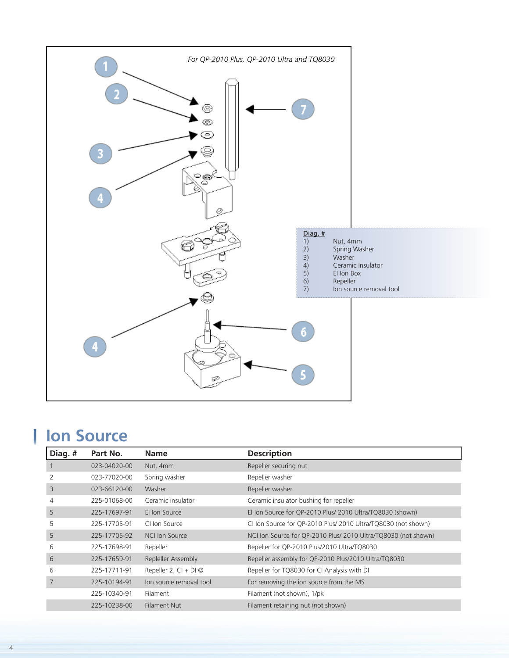

## **Ion Source**

| Diag. # | Part No.     | <b>Name</b>             | <b>Description</b>                                             |
|---------|--------------|-------------------------|----------------------------------------------------------------|
|         | 023-04020-00 | Nut, 4mm                | Repeller securing nut                                          |
|         | 023-77020-00 | Spring washer           | Repeller washer                                                |
| 3       | 023-66120-00 | Washer                  | Repeller washer                                                |
| 4       | 225-01068-00 | Ceramic insulator       | Ceramic insulator bushing for repeller                         |
| 5       | 225-17697-91 | El Ion Source           | El Ion Source for QP-2010 Plus/ 2010 Ultra/TQ8030 (shown)      |
| 5       | 225-17705-91 | CI Ion Source           | CI Ion Source for QP-2010 Plus/ 2010 Ultra/TQ8030 (not shown)  |
| 5       | 225-17705-92 | NCI Ion Source          | NCI Ion Source for QP-2010 Plus/ 2010 Ultra/TQ8030 (not shown) |
| 6       | 225-17698-91 | Repeller                | Repeller for QP-2010 Plus/2010 Ultra/TQ8030                    |
| 6       | 225-17659-91 | Repleller Assembly      | Repeller assembly for QP-2010 Plus/2010 Ultra/TQ8030           |
| 6       | 225-17711-91 | Repeller 2, $CI + DI$   | Repeller for TQ8030 for CI Analysis with DI                    |
|         | 225-10194-91 | lon source removal tool | For removing the ion source from the MS                        |
|         | 225-10340-91 | Filament                | Filament (not shown), 1/pk                                     |
|         | 225-10238-00 | <b>Filament Nut</b>     | Filament retaining nut (not shown)                             |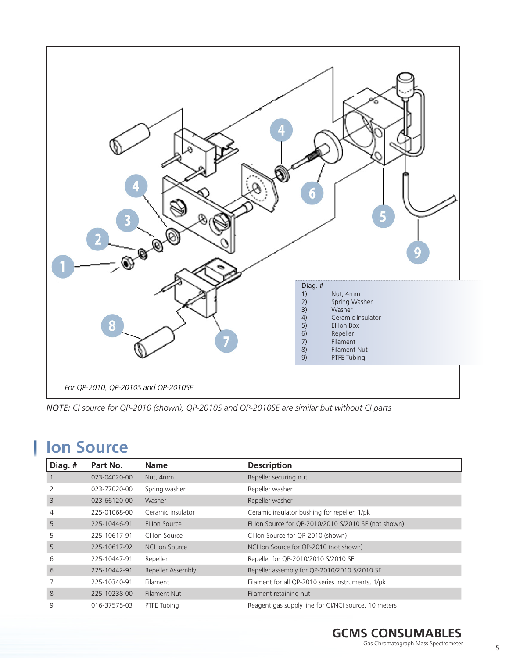

*NOTE: CI source for QP-2010 (shown), QP-2010S and QP-2010SE are similar but without CI parts*

### **Ion Source**

| Diag. # | Part No.     | <b>Name</b>         | <b>Description</b>                                   |
|---------|--------------|---------------------|------------------------------------------------------|
|         | 023-04020-00 | Nut, 4mm            | Repeller securing nut                                |
| 2       | 023-77020-00 | Spring washer       | Repeller washer                                      |
| 3       | 023-66120-00 | Washer              | Repeller washer                                      |
| 4       | 225-01068-00 | Ceramic insulator   | Ceramic insulator bushing for repeller, 1/pk         |
| 5       | 225-10446-91 | El Ion Source       | El Ion Source for QP-2010/2010 S/2010 SE (not shown) |
| 5       | 225-10617-91 | CI Ion Source       | CI Ion Source for QP-2010 (shown)                    |
| 5       | 225-10617-92 | NCI Ion Source      | NCI Ion Source for QP-2010 (not shown)               |
| 6       | 225-10447-91 | Repeller            | Repeller for QP-2010/2010 S/2010 SE                  |
| 6       | 225-10442-91 | Repeller Assembly   | Repeller assembly for QP-2010/2010 S/2010 SE         |
| 7       | 225-10340-91 | Filament            | Filament for all QP-2010 series instruments, 1/pk    |
| 8       | 225-10238-00 | <b>Filament Nut</b> | Filament retaining nut                               |
| 9       | 016-37575-03 | PTFE Tubing         | Reagent gas supply line for CI/NCI source, 10 meters |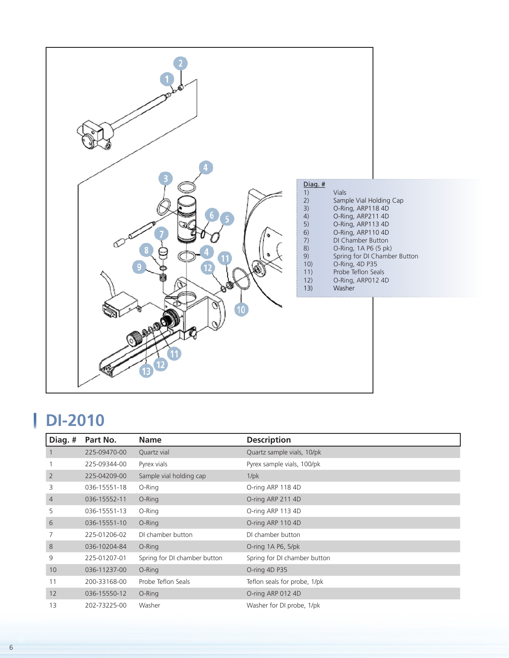

#### L **DI-2010**

| Diag. # | Part No.     | <b>Name</b>                  | <b>Description</b>           |
|---------|--------------|------------------------------|------------------------------|
|         | 225-09470-00 | Quartz vial                  | Quartz sample vials, 10/pk   |
|         | 225-09344-00 | Pyrex vials                  | Pyrex sample vials, 100/pk   |
| 2       | 225-04209-00 | Sample vial holding cap      | 1/pk                         |
| 3       | 036-15551-18 | O-Ring                       | O-ring ARP 118 4D            |
| 4       | 036-15552-11 | O-Ring                       | O-ring ARP 211 4D            |
| 5       | 036-15551-13 | O-Ring                       | O-ring ARP 113 4D            |
| 6       | 036-15551-10 | O-Ring                       | O-ring ARP 110 4D            |
|         | 225-01206-02 | DI chamber button            | DI chamber button            |
| 8       | 036-10204-84 | O-Ring                       | O-ring $1A$ P6, $5$ /pk      |
| 9       | 225-01207-01 | Spring for DI chamber button | Spring for DI chamber button |
| 10      | 036-11237-00 | O-Ring                       | O-ring 4D P35                |
| 11      | 200-33168-00 | Probe Teflon Seals           | Teflon seals for probe, 1/pk |
| 12      | 036-15550-12 | O-Ring                       | O-ring ARP 012 4D            |
| 13      | 202-73225-00 | Washer                       | Washer for DI probe, 1/pk    |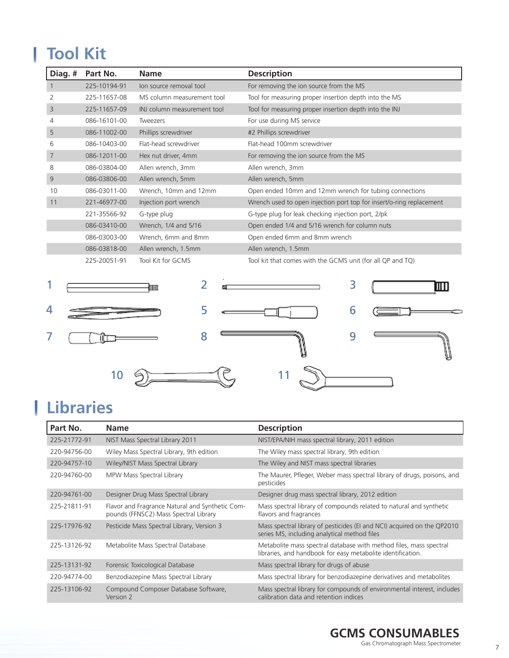# **Tool Kit**

| Diag. # | Part No.     | <b>Name</b>                 | <b>Description</b>                                                   |
|---------|--------------|-----------------------------|----------------------------------------------------------------------|
|         | 225-10194-91 | lon source removal tool     | For removing the ion source from the MS                              |
| 2       | 225-11657-08 | MS column measurement tool  | Tool for measuring proper insertion depth into the MS                |
| 3       | 225-11657-09 | INJ column measurement tool | Tool for measuring proper insertion depth into the INJ               |
| 4       | 086-16101-00 | Tweezers                    | For use during MS service                                            |
| 5       | 086-11002-00 | Phillips screwdriver        | #2 Phillips screwdriver                                              |
| 6       | 086-10403-00 | Flat-head screwdriver       | Flat-head 100mm screwdriver                                          |
| 7       | 086-12011-00 | Hex nut driver, 4mm         | For removing the ion source from the MS                              |
| 8       | 086-03804-00 | Allen wrench, 3mm           | Allen wrench, 3mm                                                    |
| 9       | 086-03806-00 | Allen wrench, 5mm           | Allen wrench, 5mm                                                    |
| 10      | 086-03011-00 | Wrench, 10mm and 12mm       | Open ended 10mm and 12mm wrench for tubing connections               |
| 11      | 221-46977-00 | Injection port wrench       | Wrench used to open injection port top for insert/o-ring replacement |
|         | 221-35566-92 | G-type plug                 | G-type plug for leak checking injection port, 2/pk                   |
|         | 086-03410-00 | Wrench, 1/4 and 5/16        | Open ended 1/4 and 5/16 wrench for column nuts                       |
|         | 086-03003-00 | Wrench, 6mm and 8mm         | Open ended 6mm and 8mm wrench                                        |
|         | 086-03818-00 | Allen wrench, 1.5mm         | Allen wrench, 1.5mm                                                  |
|         | 225-20051-91 | Tool Kit for GCMS           | Tool kit that comes with the GCMS unit (for all QP and TQ)           |
| и       |              |                             |                                                                      |



# **Libraries**

| Part No.     | <b>Name</b>                                                                              | <b>Description</b>                                                                                                                |
|--------------|------------------------------------------------------------------------------------------|-----------------------------------------------------------------------------------------------------------------------------------|
| 225-21772-91 | NIST Mass Spectral Library 2011                                                          | NIST/EPA/NIH mass spectral library, 2011 edition                                                                                  |
| 220-94756-00 | Wiley Mass Spectral Library, 9th edition                                                 | The Wiley mass spectral library, 9th edition                                                                                      |
| 220-94757-10 | Wiley/NIST Mass Spectral Library                                                         | The Wiley and NIST mass spectral libraries                                                                                        |
| 220-94760-00 | MPW Mass Spectral Library                                                                | The Maurer, Pfleger, Weber mass spectral library of drugs, poisons, and<br>pesticides                                             |
| 220-94761-00 | Designer Drug Mass Spectral Library                                                      | Designer drug mass spectral library, 2012 edition                                                                                 |
| 225-21811-91 | Flavor and Fragrance Natural and Synthetic Com-<br>pounds (FFNSC2) Mass Spectral Library | Mass spectral library of compounds related to natural and synthetic<br>flavors and fragrances                                     |
| 225-17976-92 | Pesticide Mass Spectral Library, Version 3                                               | Mass spectral library of pesticides (EI and NCI) acquired on the QP2010<br>series MS, including analytical method files           |
| 225-13126-92 | Metabolite Mass Spectral Database                                                        | Metabolite mass spectral database with method files, mass spectral<br>libraries, and handbook for easy metabolite identification. |
| 225-13131-92 | Forensic Toxicological Database                                                          | Mass spectral library for drugs of abuse                                                                                          |
| 220-94774-00 | Benzodiazepine Mass Spectral Library                                                     | Mass spectral library for benzodiazepine derivatives and metabolites                                                              |
| 225-13106-92 | Compound Composer Database Software,<br>Version 2                                        | Mass spectral library for compounds of environmental interest, includes<br>calibration data and retention indices                 |